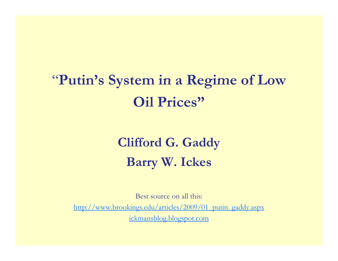### "**Putin s' System in <sup>a</sup> Regime of Low <sup>a</sup> Oil Prices"**

#### **Clifford G. Gaddy Barry W. Ickes**

Best source on all this: http://www.brookings.edu/articles/2009/01\_putin\_gaddy.aspx ickmansblog.blogspot.com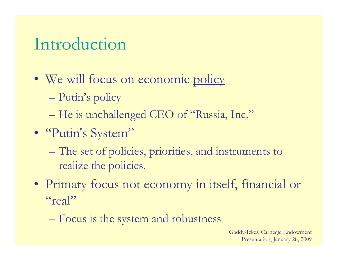#### Introduction

- We will focus on economic policy
	- $\mathcal{L}_{\mathcal{A}}$ Putin's policy
	- $\mathcal{L}_{\mathcal{A}}$ – He is unchallenged CEO of "Russia, Inc."
- "Putin's System"
	- $\mathcal{L}_{\mathcal{A}}$  The set of policies, priorities, and instruments to realize the policies.
- Primary focus not economy in itself, financial or "real"
	- <del>katalog a katalog a</del> Focus is the system and robustness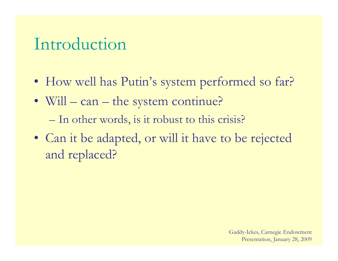#### Introduction

- How well has Putin's system performed so far?
- Will can the system continue?
	- $\mathcal{L}_{\mathcal{A}}$ – In other words, is it robust to this crisis?
- Can it be adapted, or will it have to be rejected and replaced?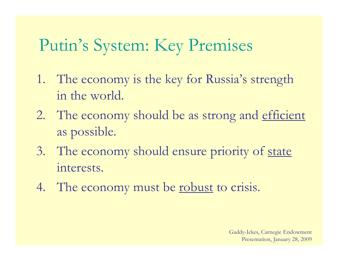#### Putin's System: Key Premises

- 1. The economy is the key for Russia's strength in the world.
- 2. The economy should be as strong and efficient as possible.
- 3. The economy should ensure priority of state interests.
- 4. The economy must be <u>robust</u> to crisis.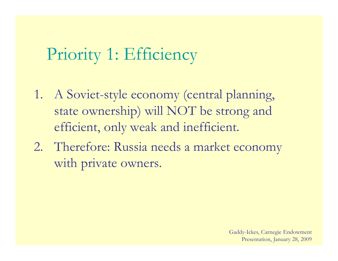#### Priority 1: Effici iency

- 1. A Soviet-style economy (central planning, state ownership) will NOT be strong and efficient, only weak and inefficient.
- 2. Therefore: Russia needs a market economy with private owners.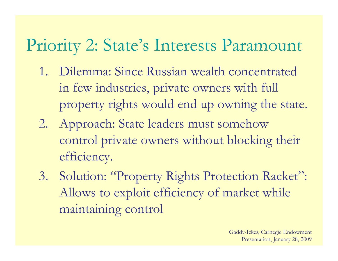### Priority 2: State's Interests Paramount

- 1. Dilemma: Since Russian wealth concentrated in few industries, private owners with full property rights would end up owning the state.
- 2. Approach: State leaders must somehow control private owners without blocking their efficiency.
- 3. Solution: "Property Rights Protection Racket": Allows to exploit efficiency of market while maintaining control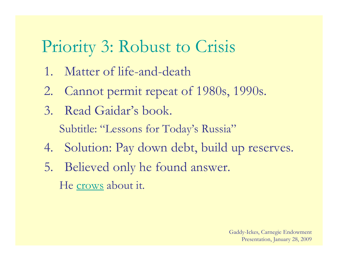### Priority 3: Robust to Crisis

- 1. Matter of life-and-death
- 2. Cannot permit repeat of 1980s, 1990s.
- 3. Read Gaidar's book. Subtitle: "Lessons for Today's Russia"
- 4. Solution: Pay down debt, build up reserves.
- 5. Believed only he found answer. He crows about it.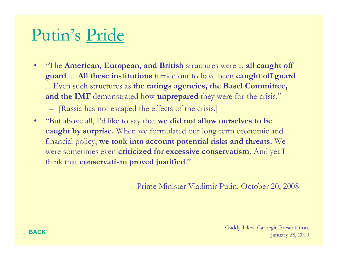### Putin's Pride

• "The **American, European, and British** structures were ... **all caught off guard** .... **All these institutions** turned out to have been **caught off guard** ... Even such structures as **the ratings agencies, the Basel Committee, and the IMF** demonstrated how **unprepared** they were for the crisis."

[Russia has not escaped the effects of the crisis.]

 $\bullet$  "But above all, I'd like to say that **we did not allow ourselves to be caught by surprise.** When we formulated our long-term economic and financial policy, **we took into account potential risks and threats.** We were sometimes even **criticized for excessive conservatism.** And yet I think that **conservatism proved justified**."

-- Prime Minister Vladimir Putin, October 20, 2008

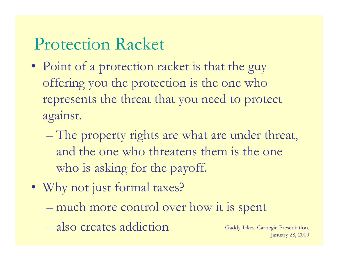#### Protection Racket

- Point of a protection racket is that the guy offering you the protection is the one who represents the threat that you need to protect against.
	- The property rights are what are under threat, and the one who threatens them is the one who is asking for the payoff.
- Why not just formal taxes? – much more control over how it is s pen t
	- also creates addiction Gaddy-Ickes, Carnegie Presentation,

January 28, 2009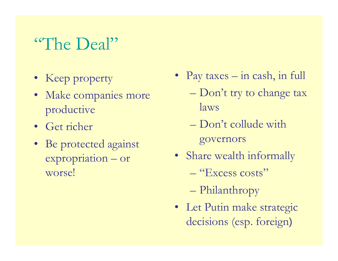### "The Deal"

- Keep property
- Make companies more productive laws
- Get richer
- Be protected against governors expropriation – or worse!
- Keep property Pay taxes in cash, in full
	- $\mathcal{L}_{\mathcal{A}}$ Don't try to change tax
	- Don't collude with
	- Share wealth informally
		- "Excess costs"
		- $\mathcal{L}_{\mathcal{A}}$ Philanthropy
	- Let Putin make strategic decisions (esp. foreign)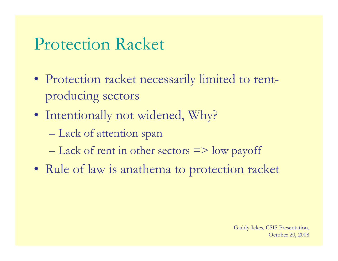#### Protection Racket

- Protection racket necessarily limited to rent producing sectors
- Intentionally not widened, Why?
	- <del>katalog a katalog a</del> Lack of attention span
	- $-$  Lack of rent in other sectors  $\Rightarrow$  low payoff
- Rule of law is anathema to protection racket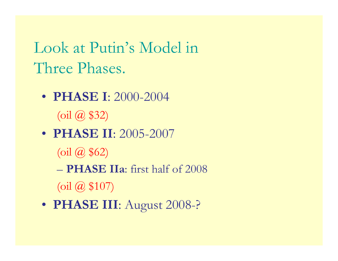Look at Putin's Model in Three Phases.

- **PHASE I**: 2000-2004  $(\mathrm{oil}$   $@$  \$32)
- **PHASE II**: 2005-2007 (oil @ \$62) – **PHASE IIa**: first half of 2008  $\left( \text{oil} \; (a) \; \$107 \right)$
- **PHASE III**: Au gust 2008-?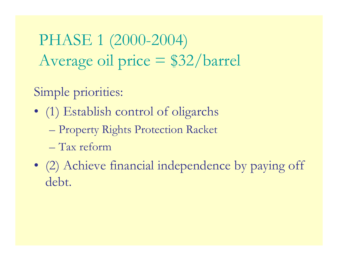PHASE 1 (2000-2004) Average oil price = \$32/barrel

Simple priorities:

- (1) Establish control of oligarchs
	- $\mathcal{L}_{\mathcal{A}}$ Property Rights Protection Racket
	- Tax reform
- (2) Achieve financial independence by paying off debt.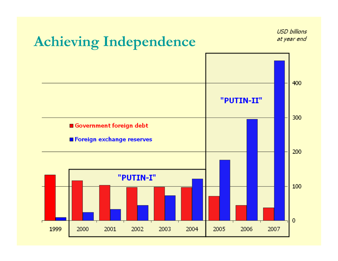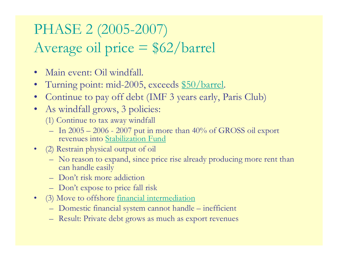#### PHASE 2 (2005-2007) Average oil price <sup>=</sup> \$62/barrel

- $\bullet$ Main event: Oil windfall.
- •• Turning point: mid-2005, exceeds \$50/barrel.
- $\bullet$ Continue to pay off debt (IMF 3 years early, Paris Club)
- As windfall grows, 3 policies:
	- (1) Continue to tax away windfall
	- In  $2005 2006$   $2007$  put in more than  $40\%$  of GROSS oil export revenues into Stabilization Fund
- (2) Restrain physical output of oil
	- No reason to expand, since price rise already producing more rent than can handle easily
	- Don't risk more addiction
	- Don't expose to price fall risk
- (3) Move to offshore <u>financial intermediation</u>
	- Domestic financial s ystem cannot handle – inefficient
	- Result: Private debt grows as much as export revenues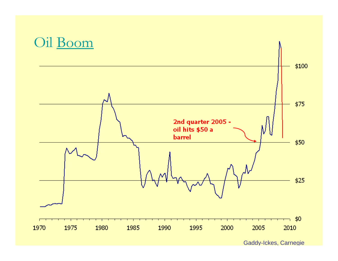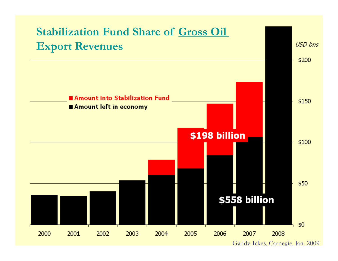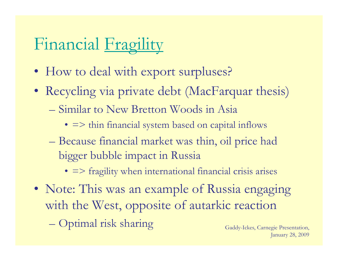# Financial Fragility

- How to deal with export surpluses?
- Recycling via private debt (MacFarquar thesis)
	- Similar to New Bretton Woods in Asia
		- => thin financial system based on capital inflows
	- $\mathcal{L}_{\mathcal{A}}$  Because financial market was thin, oil price had bigger bubble impact in Russia
		- => fragility when international financial crisis arises
- Note: This was an example of Russia engaging with the West, opposite of autarkic reaction
	- $\mathcal{L}_{\mathcal{A}}$ Optimal risk sharing Gaddy-Ickes, Carnegie Presentation,

January 28, 2009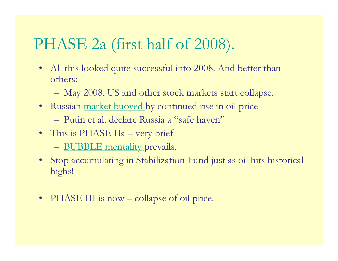#### PHASE 2a (first half of 2008).

- • All this looked quite successful into 2008. And better than others:
	- and the contract of the con-May 2008, US and other stock markets start collapse.
- Russian market buoyed by continued rise in oil price
	- Putin et al. declare Russia a "safe haven"
- This is PHASE IIa very brief
	- <u>BUBBLE mentality p</u>revails.
- Stop accumulating in Stabilization Fund just as oil hits historical highs!
- •PHASE III is now – collapse of oil price.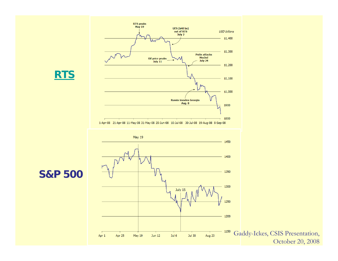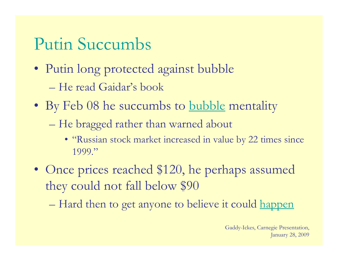### Putin Succumbs

- Putin long protected against bubble
	- He read Gaidar's book
- By Feb 08 he succumbs to <u>bubble</u> mentality
	- <del>katalog a katalog a</del> He bragged rather than warned about
		- "Russian stock market increased in value by 22 times since 1999."
- Once prices reached \$120, he perhaps assumed they could not fall below \$90
	- $\mathcal{L}_{\mathcal{A}}$ Hard then to get anyone to believe it could happen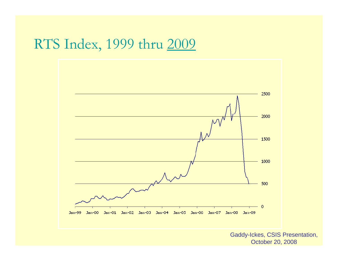#### RTS Index, 1999 thru 2009



Gaddy-Ickes, CSIS Presentation, October 20, 2008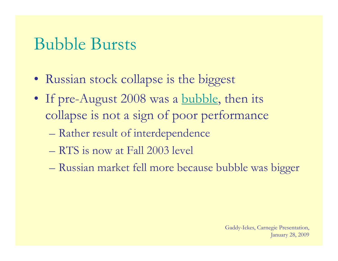#### Bubble Bursts

- Russian stock collapse is the biggest
- If pre-August 2008 was a <u>bubble</u>, then its collapse is not <sup>a</sup> sign of poor performance
	- <del>katalog a katalog a</del> Rather result of interdependence
	- $-$  RTS is now at Fall 2003 level
	- <del>katalog a katalog a</del> Russian market fell more because bubble was bigger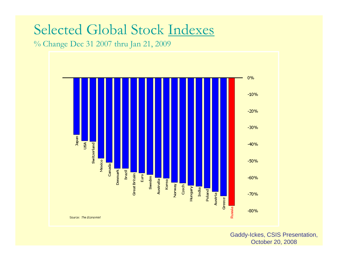#### Selected Global Stock Indexes

% Change Dec 31 2007 thru Jan 21, 2009



Gaddy-Ickes, CSIS Presentation, October 20, 2008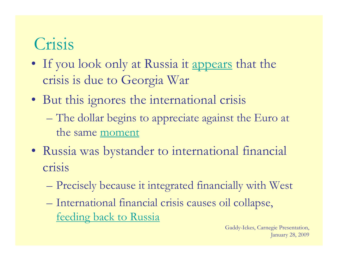### Crisis

- If you look only at Russia it <u>appears</u> that the crisis is due to Georgia War
- But this ignores the international crisis
	- <del>katalog a katalog a</del> – The dollar begins to appreciate against the Euro at the same moment
- Russia was bystander to international financial crisis
	- $\mathcal{L}_{\mathcal{A}}$ Precisely because it integrated financially with West
	- $\mathcal{L}_{\mathcal{A}}$  International financial crisis causes oil collapse, feeding back to Russia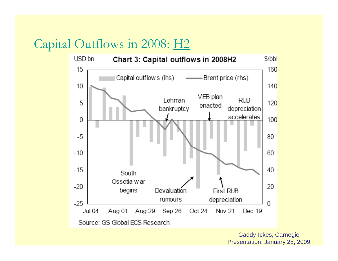#### Capital Outflows in 2008: H2

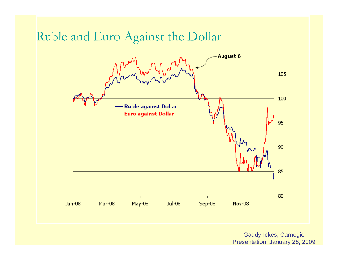#### Ruble and Euro Against the Dollar

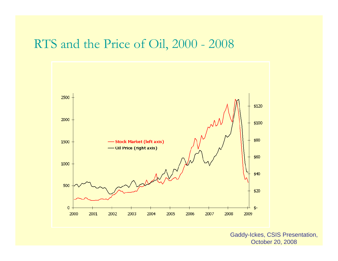#### RTS and the Price of Oil, 2000 - 2008



Gaddy-Ickes, CSIS Presentation, October 20, 2008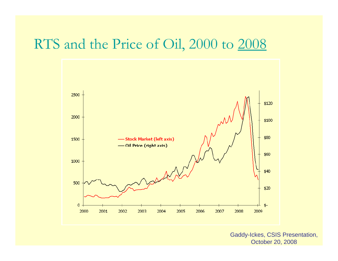#### RTS and the Price of Oil, 2000 to 2008



Gaddy-Ickes, CSIS Presentation, October 20, 2008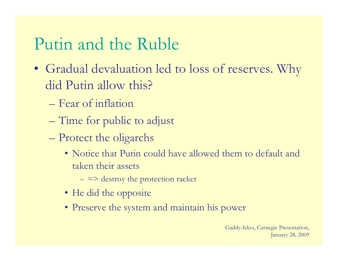### Putin and the Ruble

- Gradual devaluation led to loss of reserves. Why did Putin allow this?
	- Fear of inflation
	- $\mathcal{L}_{\mathcal{A}}$ Time for public to adjus t
	- $\mathcal{L}_{\mathcal{A}}$  Protect the oligarchs
		- Notice that Putin could have allowed them to default and taken their assets
			- $=$   $\Rightarrow$  destroy the protection racket
		- He did the opposite
		- Preserve the system and maintain his power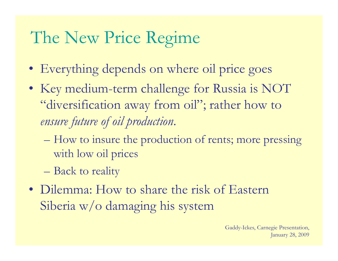## The New Price Regime

- Everything depends on where oil price goes
- Key medium-term challenge for Russia is NOT "diversification away from oil"; rather how to *ensure future of oil production*.
	- $\mathcal{L}_{\mathcal{A}}$  How to insure the production of rents; more pressing with low oil prices
	- $\mathcal{L}_{\mathcal{A}}$ Back to reality
- Dilemma: How to share the risk of Eastern Siberia w/o damaging his system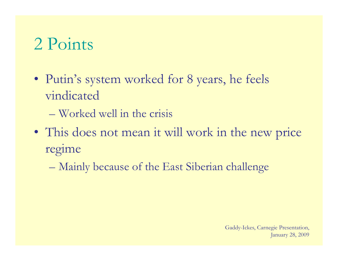## 2 Points

- Putin's system worked for 8 years, he feels vindicated
	- $-$  Worked well in the crisis
- This does not mean it will work in the new price regime
	- $\mathcal{L}_{\mathcal{A}}$ Mainly because of the East Siberian challenge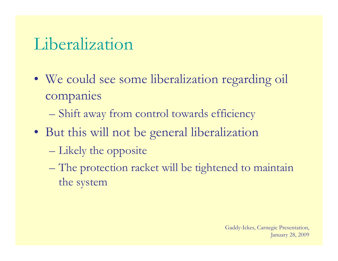### Liberalization

- We could see some liberalization regarding oil companies
	- <del>katalog a katalog a</del> Shift away from control towards efficiency
- But this will not be general liberalization
	- $\mathcal{L}_{\mathcal{A}}$ – Likely the opposite
	- <del>katalog a katalog a</del> The protection racket will be tightened to maintain the system